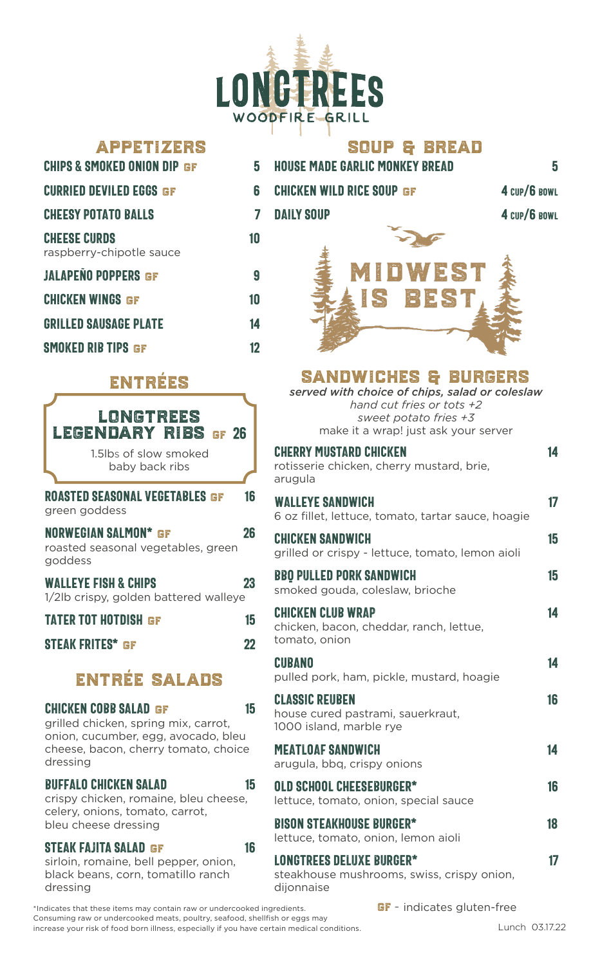

## appetizers

CHIPS & SMOKED ONION DIP GF 5  $C \cup R$  and  $D = C \cup R$  and  $C \cup R$  are  $C \cup R$  and  $C \cup R$  are  $C \cup R$  and  $C \cup R$  are  $C \cup R$  and  $C \cup R$  are  $C \cup R$  and  $C \cup R$  are  $C \cup R$  and  $C \cup R$  are  $C \cup R$  and  $C \cup R$  are  $C \cup R$  and  $C \cup R$  are  $C \cup R$  and  $C \cup R$  are  $C \cup R$  and CHEESY POTATO BALLS 7 CHEESE CURDS 10 raspberry-chipotle sauce JALAPEÑO POPPERS GF 9 CHICKEN WINGS GF 10 GRILLED SAUSAGE PLATE 14 smoked RIB TIPS GF 12

## entrées

# longtrees LEGENDARY RIBS GF 26 1.5lbs of slow smoked baby back ribs

## ROASTED SEASONAL VEGETABLES GF 16

green goddess

#### Norwegian Salmon\* gf 26

roasted seasonal vegetables, green goddess

#### WALLEYE FISH & CHIPS 23 1/2lb crispy, golden battered walleye

#### TATER TOT HOTDISH GF 15

STEAK FRITES\* GF 22

# entrée salads

#### CHICKEN COBB SALAD GF 15

grilled chicken, spring mix, carrot, onion, cucumber, egg, avocado, bleu cheese, bacon, cherry tomato, choice dressing

#### BUFFALO CHICKEN SALAD 15

crispy chicken, romaine, bleu cheese, celery, onions, tomato, carrot, bleu cheese dressing

### STEAK FAJITA SALAD GF 16

sirloin, romaine, bell pepper, onion, black beans, corn, tomatillo ranch dressing

\*Indicates that these items may contain raw or undercooked ingredients.  $\blacksquare$  - indicates gluten-free Consuming raw or undercooked meats, poultry, seafood, shellfish or eggs may increase your risk of food born illness, especially if you have certain medical conditions. Lunch 03.17.22

## soup & bread

HOUSE MADE GARLIC MONKEY BREAD 5 CHICKEN WILD RICE SOUP GF  $4 \text{ cup/6}$  bowl

DAILY SOUP 4 CUP/6 BOWL



## sandwiches & burgers

*served with choice of chips, salad or coleslaw hand cut fries or tots +2 sweet potato fries +3* make it a wrap! just ask your server CHERRY MIISTARD CHICKEN 14

| rotisserie chicken, cherry mustard, brie,<br>arugula                                  |    |
|---------------------------------------------------------------------------------------|----|
| <b>WALLEYE SANDWICH</b><br>6 oz fillet, lettuce, tomato, tartar sauce, hoagie         | 17 |
| <b>CHICKEN SANDWICH</b><br>grilled or crispy - lettuce, tomato, lemon aioli           | 15 |
| <b>BBO PULLED PORK SANDWICH</b><br>smoked gouda, coleslaw, brioche                    | 15 |
| <b>CHICKEN CLUB WRAP</b><br>chicken, bacon, cheddar, ranch, lettue,<br>tomato, onion  | 14 |
| <b>CUBANO</b><br>pulled pork, ham, pickle, mustard, hoagie                            | 14 |
| <b>CLASSIC REUBEN</b><br>house cured pastrami, sauerkraut,<br>1000 island, marble rye | 16 |
| <b>MEATLOAF SANDWICH</b><br>arugula, bbq, crispy onions                               | 14 |
| <b>OLD SCHOOL CHEESEBURGER*</b><br>lettuce, tomato, onion, special sauce              | 16 |
| <b>BISON STEAKHOUSE BURGER*</b><br>lettuce, tomato, onion, lemon aioli                | 18 |
| <b>LONGTREES DELUXE BURGER*</b>                                                       | 17 |

### steakhouse mushrooms, swiss, crispy onion, dijonnaise